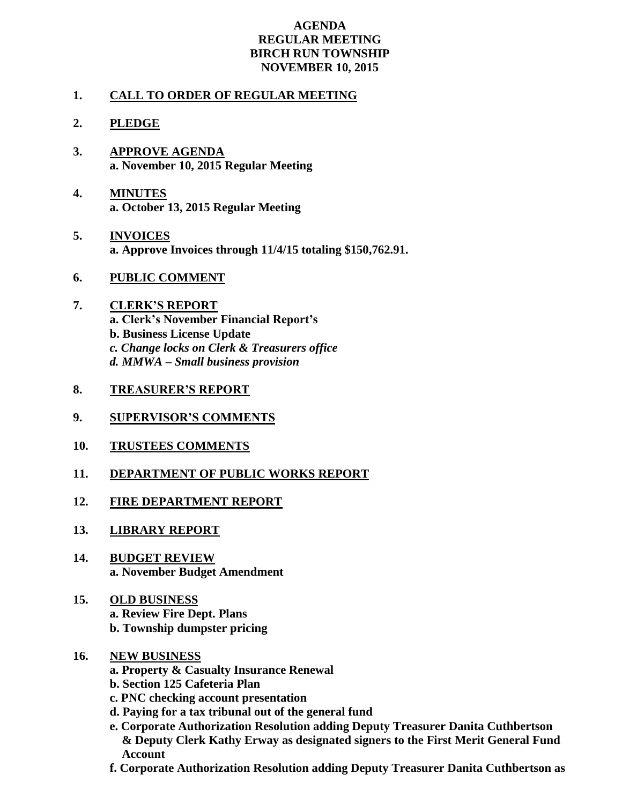## **AGENDA REGULAR MEETING BIRCH RUN TOWNSHIP NOVEMBER 10, 2015**

## **1. CALL TO ORDER OF REGULAR MEETING**

## **2. PLEDGE**

- **3. APPROVE AGENDA a. November 10, 2015 Regular Meeting**
- **4. MINUTES a. October 13, 2015 Regular Meeting**
- **5. INVOICES a. Approve Invoices through 11/4/15 totaling \$150,762.91.**
- **6. PUBLIC COMMENT**
- **7. CLERK'S REPORT a. Clerk's November Financial Report's b. Business License Update** *c. Change locks on Clerk & Treasurers office d. MMWA – Small business provision*
- **8. TREASURER'S REPORT**
- **9. SUPERVISOR'S COMMENTS**
- **10. TRUSTEES COMMENTS**
- **11. DEPARTMENT OF PUBLIC WORKS REPORT**
- **12. FIRE DEPARTMENT REPORT**
- **13. LIBRARY REPORT**
- **14. BUDGET REVIEW a. November Budget Amendment**
- **15. OLD BUSINESS a. Review Fire Dept. Plans b. Township dumpster pricing**
- **16. NEW BUSINESS**
	- **a. Property & Casualty Insurance Renewal**
	- **b. Section 125 Cafeteria Plan**
	- **c. PNC checking account presentation**
	- **d. Paying for a tax tribunal out of the general fund**
	- **e. Corporate Authorization Resolution adding Deputy Treasurer Danita Cuthbertson & Deputy Clerk Kathy Erway as designated signers to the First Merit General Fund Account**
	- **f. Corporate Authorization Resolution adding Deputy Treasurer Danita Cuthbertson as**